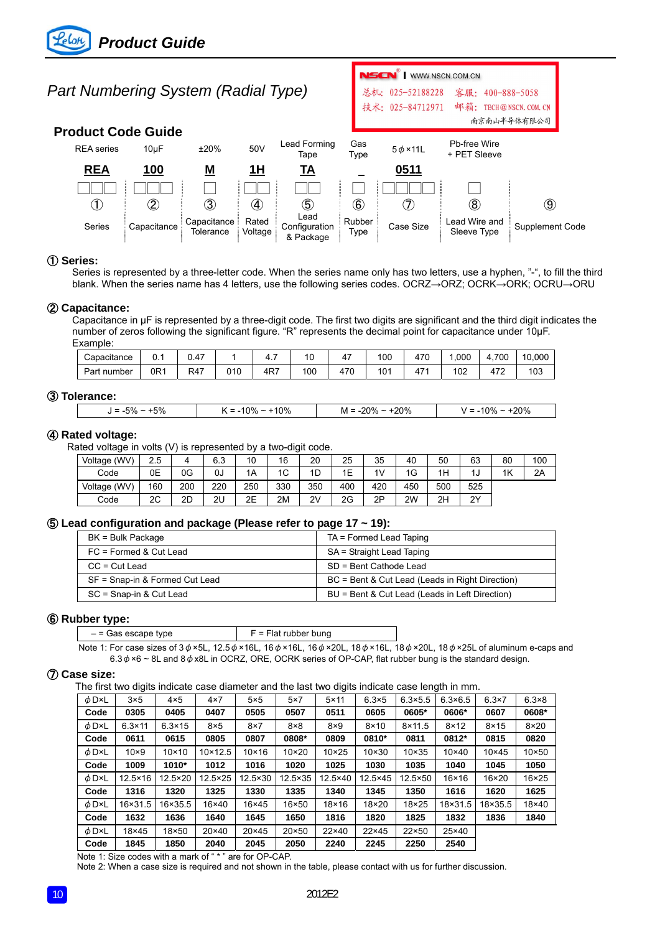# *Part Numbering System (Radial Type)*

# **Product Code Guide**



**NSCN**<sup>W</sup> | WWW.NSCN.COM.CN

### ① **Series:**

Series is represented by a three-letter code. When the series name only has two letters, use a hyphen, "-", to fill the third blank. When the series name has 4 letters, use the following series codes. OCRZ→ORZ; OCRK→ORK; OCRU→ORU

### ② **Capacitance:**

Capacitance in μF is represented by a three-digit code. The first two digits are significant and the third digit indicates the number of zeros following the significant figure. "R" represents the decimal point for capacitance under 10μF. Example:

| Capacitance | $\sim$<br>υ. | 0.47 |     | T., | 10  | . .      | 100 | 47 <sup>c</sup>                   | .000 | 700<br>4., | 10,000 |
|-------------|--------------|------|-----|-----|-----|----------|-----|-----------------------------------|------|------------|--------|
| Part number | 0R1          | R47  | 010 | 4R7 | 100 | 170<br>Δ | 101 | 17 <sub>2</sub><br>4 <sub>1</sub> | 102  | 472        | 103    |

### ③ **Tolerance:**

| -5%<br>$J = -5\%$ | $.10\%$<br><b>00/</b><br>$\alpha = 0$<br>ĸ | +20%<br>$M = -20\% \sim$ | $+20%$<br>0 <sup>0</sup><br>$V = -10\%$ |
|-------------------|--------------------------------------------|--------------------------|-----------------------------------------|
|                   |                                            |                          |                                         |

### ④ **Rated voltage:**

Rated voltage in volts (V) is represented by a two-digit code.

| Voltage (WV) | 2.5 |     | 6.3 | 10  | 16             | 20  | 25  | 35  | 40  | 50  | 63  | 80 | 100 |
|--------------|-----|-----|-----|-----|----------------|-----|-----|-----|-----|-----|-----|----|-----|
| Code         | 0E  | 0G  | 0J  | 1A  | 1 <sup>C</sup> | 1D  | 1E  | 1V  | 1G  | 1H  |     | 1K | 2A  |
| Voltage (WV) | 160 | 200 | 220 | 250 | 330            | 350 | 400 | 420 | 450 | 500 | 525 |    |     |
| Code         | 2C  | 2D  | 2U  | 2E  | 2M             | 2V  | 2G  | 2Ρ  | 2W  | 2H  | 2Y  |    |     |

### ⑤ **Lead configuration and package (Please refer to page 17 ~ 19):**

| BK = Bulk Package              | TA = Formed Lead Taping                         |
|--------------------------------|-------------------------------------------------|
| $FC = Formed & Cut Lead$       | SA = Straight Lead Taping                       |
| $CC = Cut$ Lead                | SD = Bent Cathode Lead                          |
| SF = Snap-in & Formed Cut Lead | BC = Bent & Cut Lead (Leads in Right Direction) |
| SC = Snap-in & Cut Lead        | BU = Bent & Cut Lead (Leads in Left Direction)  |

### ⑥ **Rubber type:**

| $-$ = Gas escape type |                                                                                                                    |  |  | $F =$ Flat rubber bung |  |
|-----------------------|--------------------------------------------------------------------------------------------------------------------|--|--|------------------------|--|
|                       | Note 1: For eaco gives of $2$ $4 \times 51$ 12 $5 \times 101$ 16 $4 \times 101$ 16 $4 \times 201$ 10 $4 \times 10$ |  |  |                        |  |

Note 1: For case sizes of 3  $\phi$  ×5L, 12.5  $\phi$  ×16L, 16  $\phi$  ×16L, 16  $\phi$  ×20L, 18  $\phi$  ×16L, 18  $\phi$  ×20L, 18  $\phi$  ×25L of aluminum e-caps and 6.3 $\phi$ ×6 ~ 8L and 8 $\phi$  x8L in OCRZ, ORE, OCRK series of OP-CAP, flat rubber bung is the standard design.

### ⑦ **Case size:**

The first two digits indicate case diameter and the last two digits indicate case length in mm.

| $\phi$ D×L | $3\times5$       | $4\times 5$      | $4\times 7$      | $5\times5$     | $5\times7$       | $5 \times 11$ | $6.3\times5$     | $6.3 \times 5.5$ | $6.3 \times 6.5$ | $6.3\times7$  | $6.3 \times 8$ |
|------------|------------------|------------------|------------------|----------------|------------------|---------------|------------------|------------------|------------------|---------------|----------------|
| Code       | 0305             | 0405             | 0407             | 0505           | 0507             | 0511          | 0605             | 0605*            | 0606*            | 0607          | 0608*          |
| φD×L       | $6.3 \times 11$  | $6.3 \times 15$  | $8\times5$       | $8\times 7$    | $8\times8$       | $8\times9$    | $8 \times 10$    | $8 \times 11.5$  | $8 \times 12$    | $8 \times 15$ | $8\times20$    |
| Code       | 0611             | 0615             | 0805             | 0807           | 0808*            | 0809          | 0810*            | 0811             | 0812*            | 0815          | 0820           |
| φD×L       | $10\times9$      | $10 \times 10$   | $10 \times 12.5$ | $10 \times 16$ | $10\times20$     | $10\times25$  | $10 \times 30$   | $10\times35$     | $10\times 40$    | $10\times 45$ | $10\times 50$  |
| Code       | 1009             | 1010*            | 1012             | 1016           | 1020             | 1025          | 1030             | 1035             | 1040             | 1045          | 1050           |
| φD×L       | $12.5 \times 16$ | $12.5 \times 20$ | $12.5 \times 25$ | 12.5×30        | $12.5 \times 35$ | 12.5×40       | $12.5 \times 45$ | 12.5×50          | $16\times 16$    | $16\times20$  | 16×25          |
| Code       | 1316             | 1320             | 1325             | 1330           | 1335             | 1340          | 1345             | 1350             | 1616             | 1620          | 1625           |
| φD×L       | 16×31.5          | 16×35.5          | $16\times 40$    | $16\times 45$  | 16×50            | $18\times 16$ | 18×20            | $18\times25$     | 18×31.5          | 18×35.5       | 18×40          |
|            |                  |                  |                  |                |                  |               |                  |                  |                  |               |                |
| Code       | 1632             | 1636             | 1640             | 1645           | 1650             | 1816          | 1820             | 1825             | 1832             | 1836          | 1840           |
| φD×L       | 18×45            | 18×50            | $20 \times 40$   | $20 \times 45$ | 20×50            | $22\times 40$ | $22\times 45$    | 22×50            | 25×40            |               |                |

Note 1: Size codes with a mark of " \* " are for OP-CAP.

Note 2: When a case size is required and not shown in the table, please contact with us for further discussion.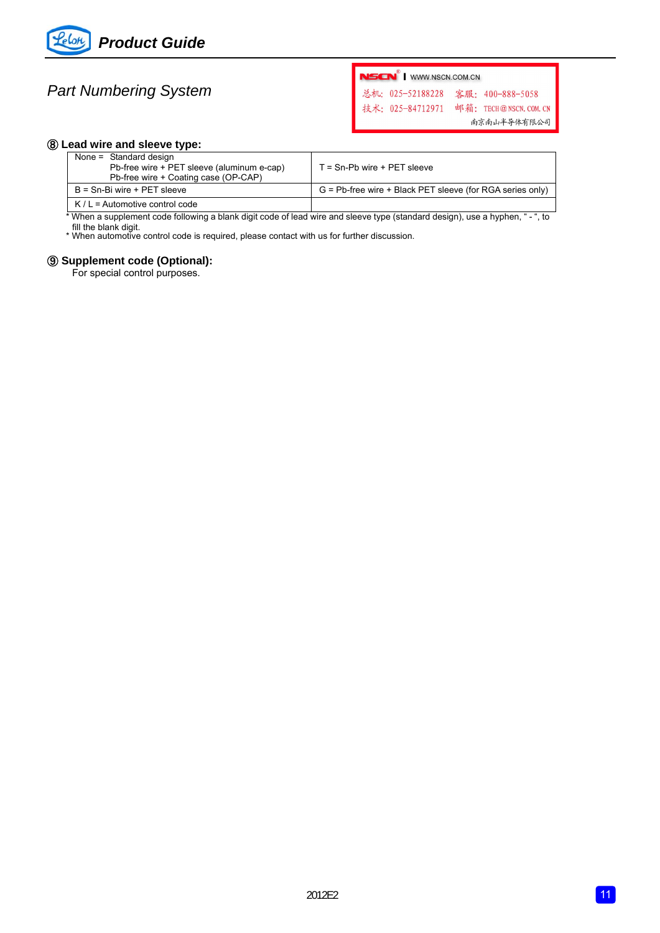

# *Part Numbering System*

NSCN<sup>®</sup> | WWW.NSCN.COM.CN

总机: 025-52188228 客服: 400-888-5058 技术: 025-84712971 邮箱: TECH@NSCN. COM. CN 南京南山半导体有限公司

## ⑧ **Lead wire and sleeve type:**

| None = Standard design<br>Pb-free wire + PET sleeve (aluminum e-cap)<br>Pb-free wire + Coating case (OP-CAP) | $T =$ Sn-Pb wire + PET sleeve                                |
|--------------------------------------------------------------------------------------------------------------|--------------------------------------------------------------|
| B = Sn-Bi wire + PET sleeve                                                                                  | $G = Pb$ -free wire + Black PET sleeve (for RGA series only) |
| $K/L =$ Automotive control code                                                                              |                                                              |

\* When a supplement code following a blank digit code of lead wire and sleeve type (standard design), use a hyphen, " - ", to fill the blank digit.

\* When automotive control code is required, please contact with us for further discussion.

## ⑨ **Supplement code (Optional):**

For special control purposes.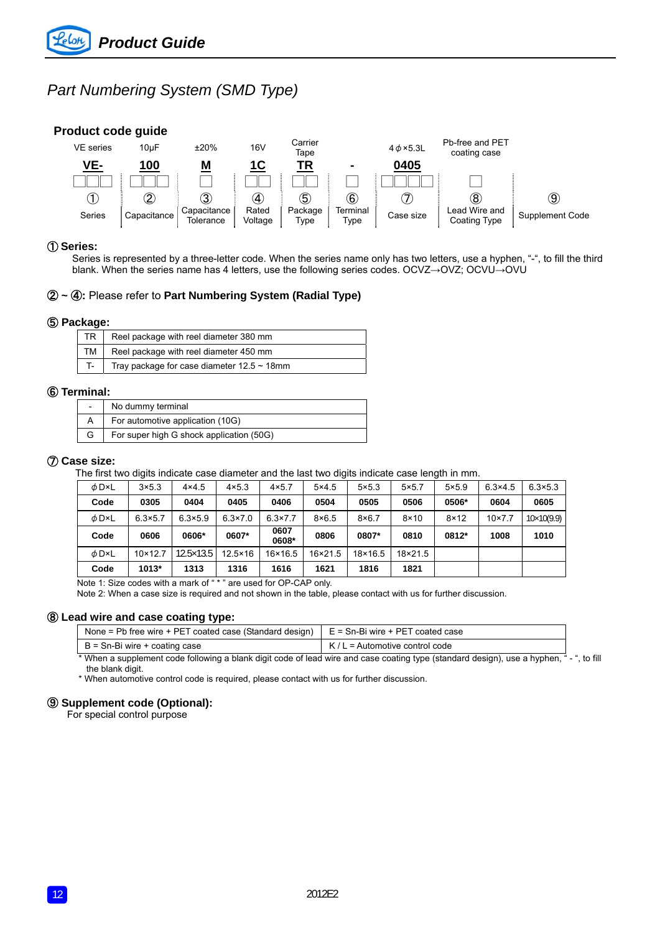# *Part Numbering System (SMD Type)*

# **Product code guide**



# ① **Series:**

Series is represented by a three-letter code. When the series name only has two letters, use a hyphen, "-", to fill the third blank. When the series name has 4 letters, use the following series codes. OCVZ→OVZ; OCVU→OVU

### ② **~** ④**:** Please refer to **Part Numbering System (Radial Type)**

#### ⑤ **Package:**

| <b>TR</b> | Reel package with reel diameter 380 mm           |
|-----------|--------------------------------------------------|
| TM I      | Reel package with reel diameter 450 mm           |
|           | Tray package for case diameter $12.5 \sim 18$ mm |

#### ⑥ **Terminal:**

| $\overline{\phantom{a}}$ | No dummy terminal                        |
|--------------------------|------------------------------------------|
|                          | For automotive application (10G)         |
| G                        | For super high G shock application (50G) |

### ⑦ **Case size:**

The first two digits indicate case diameter and the last two digits indicate case length in mm.

| φD×L       | $3\times5.3$     | $4\times4.5$       | $4\times5.3$     | $4 \times 5.7$   | $5\times4.5$     | $5\times5.3$  | $5\times5.7$  | $5\times5.9$  | $6.3 \times 4.5$ | $6.3 \times 5.3$  |
|------------|------------------|--------------------|------------------|------------------|------------------|---------------|---------------|---------------|------------------|-------------------|
| Code       | 0305             | 0404               | 0405             | 0406             | 0504             | 0505          | 0506          | 0506*         | 0604             | 0605              |
| φD×L       | $6.3 \times 5.7$ | $6.3 \times 5.9$   | $6.3 \times 7.0$ | $6.3 \times 7.7$ | $8\times6.5$     | $8\times 6.7$ | $8 \times 10$ | $8 \times 12$ | $10 \times 7.7$  | $10\times10(9.9)$ |
| Code       | 0606             | 0606*              | 0607*            | 0607<br>0608*    | 0806             | 0807*         | 0810          | 0812*         | 1008             | 1010              |
| $\phi$ D×L | $10 \times 12.7$ | $12.5 \times 13.5$ | $12.5 \times 16$ | $16 \times 16.5$ | $16 \times 21.5$ | 18×16.5       | 18×21.5       |               |                  |                   |
| Code       | 1013*            | 1313               | 1316             | 1616             | 1621             | 1816          | 1821          |               |                  |                   |

Note 1: Size codes with a mark of " \* " are used for OP-CAP only.

Note 2: When a case size is required and not shown in the table, please contact with us for further discussion.

### ⑧ **Lead wire and case coating type:**

| None = Pb free wire + PET coated case (Standard design) | E = Sn-Bi wire + PET coated case                                                                                            |                |
|---------------------------------------------------------|-----------------------------------------------------------------------------------------------------------------------------|----------------|
| B = Sn-Bi wire + coating case                           | $K/L =$ Automotive control code                                                                                             |                |
|                                                         | * When a supplement code following a blank digit code of lead wire and case coating type (standard design), use a hyphen, " | " - ", to fill |

the blank digit.

\* When automotive control code is required, please contact with us for further discussion.

## ⑨ **Supplement code (Optional):**

For special control purpose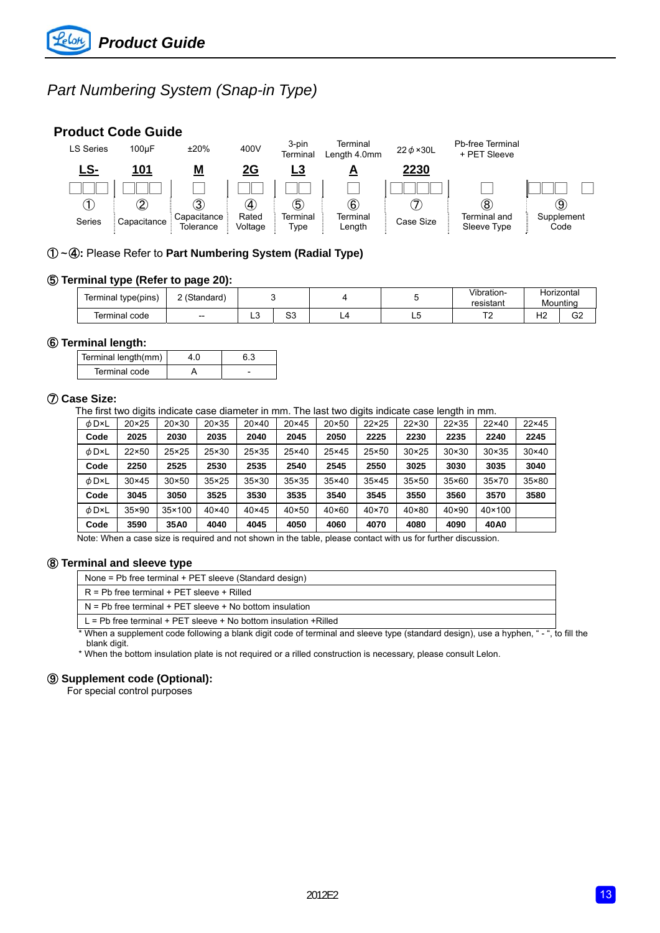# *Part Numbering System (Snap-in Type)*

# **Product Code Guide**



## ① **~** ④**:** Please Refer to **Part Numbering System (Radial Type)**

### ⑤ **Terminal type (Refer to page 20):**

| Terminal type(pins) | 2 (Standard) |                   |          |   | Vibration-<br>resistant |           | Horizontal<br>Mountina |  |
|---------------------|--------------|-------------------|----------|---|-------------------------|-----------|------------------------|--|
| Terminal code       | $- -$        | $\sim$<br>∽<br>__ | n n<br>ິ | ື | ÷                       | ۱۱٥<br>74 | $\sim$<br>ےت<br>$\sim$ |  |

#### ⑥ **Terminal length:**

| Terminal length(mm) |  |
|---------------------|--|
| Terminal code       |  |

### ⑦ **Case Size:**

The first two digits indicate case diameter in mm. The last two digits indicate case length in mm.

| $\phi$ D×L | $20 \times 25$ | $20 \times 30$  | $20 \times 35$ | $20 \times 40$ | $20 \times 45$ | 20×50          | $22 \times 25$ | 22×30          | $22 \times 35$ | $22\times 40$   | 22×45        |
|------------|----------------|-----------------|----------------|----------------|----------------|----------------|----------------|----------------|----------------|-----------------|--------------|
| Code       | 2025           | 2030            | 2035           | 2040           | 2045           | 2050           | 2225           | 2230           | 2235           | 2240            | 2245         |
| φD×L       | 22×50          | 25×25           | 25×30          | 25×35          | 25×40          | 25×45          | 25×50          | $30 \times 25$ | $30 \times 30$ | $30 \times 35$  | $30\times40$ |
| Code       | 2250           | 2525            | 2530           | 2535           | 2540           | 2545           | 2550           | 3025           | 3030           | 3035            | 3040         |
| $\phi$ D×L | $30 \times 45$ | $30\times50$    | $35 \times 25$ | $35 \times 30$ | $35 \times 35$ | $35 \times 40$ | $35\times45$   | $35 \times 50$ | $35\times60$   | $35 \times 70$  | 35×80        |
| Code       | 3045           | 3050            | 3525           | 3530           | 3535           | 3540           | 3545           | 3550           | 3560           | 3570            | 3580         |
| $\phi$ D×L | 35×90          | $35 \times 100$ | $40\times40$   | $40\times45$   | $40\times50$   | $40\times60$   | $40\times70$   | 40×80          | $40 \times 90$ | $40 \times 100$ |              |
| Code       | 3590           | 35A0            | 4040           | 4045           | 4050           | 4060           | 4070           | 4080           | 4090           | 40A0            |              |

Note: When a case size is required and not shown in the table, please contact with us for further discussion.

### ⑧ **Terminal and sleeve type**

None = Pb free terminal + PET sleeve (Standard design)

N = Pb free terminal + PET sleeve + No bottom insulation

L = Pb free terminal + PET sleeve + No bottom insulation +Rilled

When a supplement code following a blank digit code of terminal and sleeve type (standard design), use a hyphen, "-", to fill the blank digit.

\* When the bottom insulation plate is not required or a rilled construction is necessary, please consult Lelon.

#### ⑨ **Supplement code (Optional):**

For special control purposes